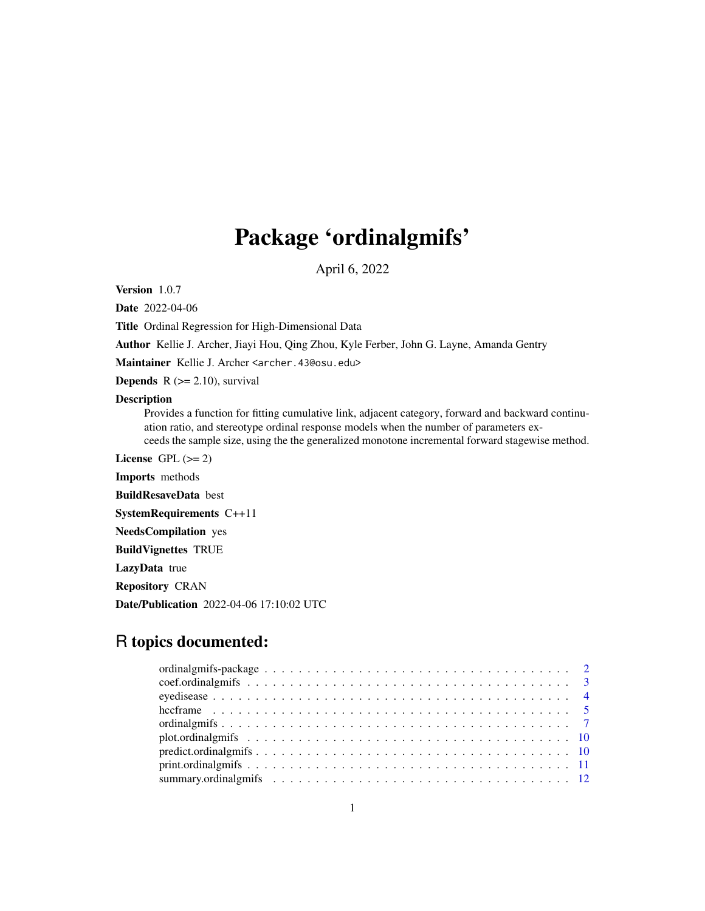## Package 'ordinalgmifs'

April 6, 2022

<span id="page-0-0"></span>Version 1.0.7

Date 2022-04-06

Title Ordinal Regression for High-Dimensional Data

Author Kellie J. Archer, Jiayi Hou, Qing Zhou, Kyle Ferber, John G. Layne, Amanda Gentry

Maintainer Kellie J. Archer <archer.43@osu.edu>

**Depends**  $R$  ( $>= 2.10$ ), survival

#### Description

Provides a function for fitting cumulative link, adjacent category, forward and backward continuation ratio, and stereotype ordinal response models when the number of parameters exceeds the sample size, using the the generalized monotone incremental forward stagewise method.

License GPL  $(>= 2)$ 

Imports methods

BuildResaveData best

SystemRequirements C++11

NeedsCompilation yes

BuildVignettes TRUE

LazyData true

Repository CRAN

Date/Publication 2022-04-06 17:10:02 UTC

### R topics documented: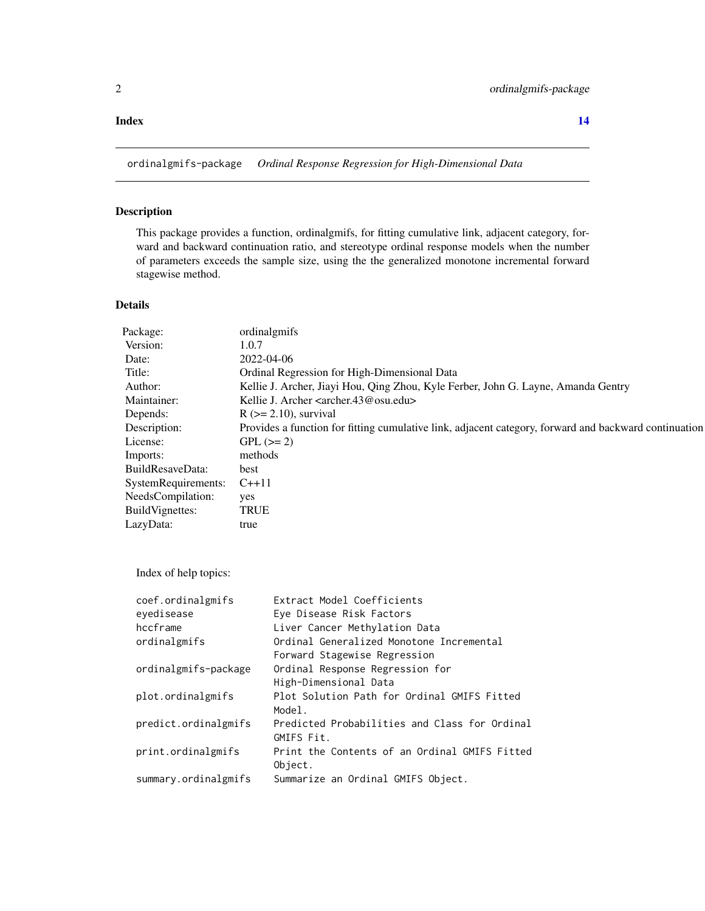#### <span id="page-1-0"></span>**Index** 2008 **[14](#page-13-0)**

ordinalgmifs-package *Ordinal Response Regression for High-Dimensional Data*

#### Description

This package provides a function, ordinalgmifs, for fitting cumulative link, adjacent category, forward and backward continuation ratio, and stereotype ordinal response models when the number of parameters exceeds the sample size, using the the generalized monotone incremental forward stagewise method.

#### Details

| Package:                  | ordinalgmifs                                                                                          |
|---------------------------|-------------------------------------------------------------------------------------------------------|
| Version:                  | 1.0.7                                                                                                 |
| Date:                     | 2022-04-06                                                                                            |
| Title:                    | Ordinal Regression for High-Dimensional Data                                                          |
| Author:                   | Kellie J. Archer, Jiayi Hou, Qing Zhou, Kyle Ferber, John G. Layne, Amanda Gentry                     |
| Maintainer:               | Kellie J. Archer <archer.43@osu.edu></archer.43@osu.edu>                                              |
| Depends:                  | $R$ ( $>= 2.10$ ), survival                                                                           |
| Description:              | Provides a function for fitting cumulative link, adjacent category, forward and backward continuation |
| License:                  | $GPL (= 2)$                                                                                           |
| Imports:                  | methods                                                                                               |
| BuildResaveData:          | best                                                                                                  |
| SystemRequirements: C++11 |                                                                                                       |
| NeedsCompilation:         | yes                                                                                                   |
| BuildVignettes:           | <b>TRUE</b>                                                                                           |
| LazyData:                 | true                                                                                                  |
|                           |                                                                                                       |

Index of help topics:

| coef.ordinalgmifs    | Extract Model Coefficients                    |
|----------------------|-----------------------------------------------|
| eyedisease           | Eye Disease Risk Factors                      |
| hccframe             | Liver Cancer Methylation Data                 |
| ordinalgmifs         | Ordinal Generalized Monotone Incremental      |
|                      | Forward Stagewise Regression                  |
| ordinalgmifs-package | Ordinal Response Regression for               |
|                      | High-Dimensional Data                         |
| plot.ordinalgmifs    | Plot Solution Path for Ordinal GMIFS Fitted   |
|                      | Model.                                        |
| predict.ordinalgmifs | Predicted Probabilities and Class for Ordinal |
|                      | GMIFS Fit.                                    |
| print.ordinalgmifs   | Print the Contents of an Ordinal GMIFS Fitted |
|                      | Object.                                       |
| summary.ordinalgmifs | Summarize an Ordinal GMIFS Object.            |
|                      |                                               |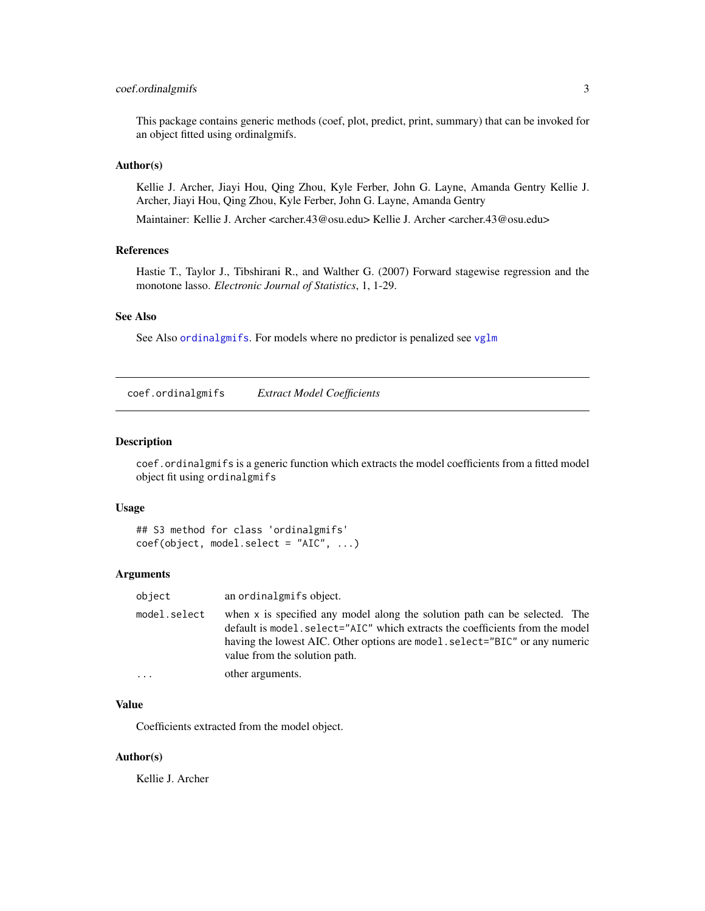#### <span id="page-2-0"></span>coef.ordinalgmifs 3

This package contains generic methods (coef, plot, predict, print, summary) that can be invoked for an object fitted using ordinalgmifs.

#### Author(s)

Kellie J. Archer, Jiayi Hou, Qing Zhou, Kyle Ferber, John G. Layne, Amanda Gentry Kellie J. Archer, Jiayi Hou, Qing Zhou, Kyle Ferber, John G. Layne, Amanda Gentry

Maintainer: Kellie J. Archer <archer.43@osu.edu> Kellie J. Archer <archer.43@osu.edu>

#### References

Hastie T., Taylor J., Tibshirani R., and Walther G. (2007) Forward stagewise regression and the monotone lasso. *Electronic Journal of Statistics*, 1, 1-29.

#### See Also

See Also [ordinalgmifs](#page-6-1). For models where no predictor is penalized see [vglm](#page-0-0)

<span id="page-2-1"></span>coef.ordinalgmifs *Extract Model Coefficients*

#### Description

coef.ordinalgmifs is a generic function which extracts the model coefficients from a fitted model object fit using ordinalgmifs

#### Usage

```
## S3 method for class 'ordinalgmifs'
coef(object, model.select = "AIC", ...)
```
#### Arguments

| object       | an ordinalgmifs object.                                                                                                                                                                                                                                                     |
|--------------|-----------------------------------------------------------------------------------------------------------------------------------------------------------------------------------------------------------------------------------------------------------------------------|
| model.select | when x is specified any model along the solution path can be selected. The<br>default is model. select="AIC" which extracts the coefficients from the model<br>having the lowest AIC. Other options are model. select="BIC" or any numeric<br>value from the solution path. |
|              | other arguments.                                                                                                                                                                                                                                                            |

#### Value

Coefficients extracted from the model object.

#### Author(s)

Kellie J. Archer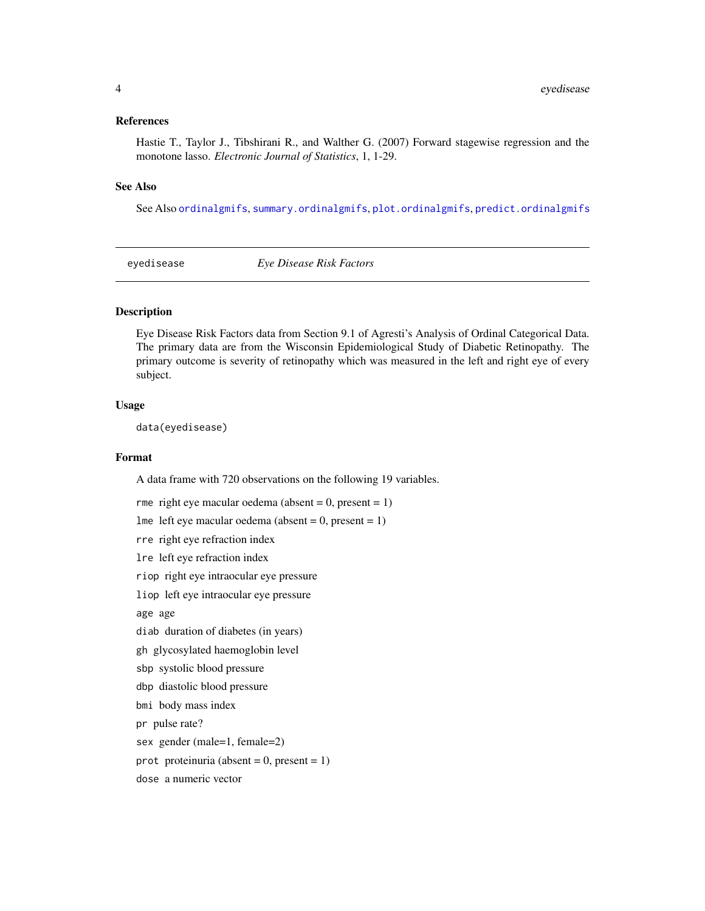#### <span id="page-3-0"></span>References

Hastie T., Taylor J., Tibshirani R., and Walther G. (2007) Forward stagewise regression and the monotone lasso. *Electronic Journal of Statistics*, 1, 1-29.

#### See Also

See Also [ordinalgmifs](#page-6-1), [summary.ordinalgmifs](#page-11-1), [plot.ordinalgmifs](#page-9-1), [predict.ordinalgmifs](#page-9-2)

eyedisease *Eye Disease Risk Factors*

#### **Description**

Eye Disease Risk Factors data from Section 9.1 of Agresti's Analysis of Ordinal Categorical Data. The primary data are from the Wisconsin Epidemiological Study of Diabetic Retinopathy. The primary outcome is severity of retinopathy which was measured in the left and right eye of every subject.

#### Usage

data(eyedisease)

#### Format

A data frame with 720 observations on the following 19 variables.

rme right eye macular oedema (absent =  $0$ , present =  $1$ ) lme left eye macular oedema (absent =  $0$ , present =  $1$ ) rre right eye refraction index lre left eye refraction index riop right eye intraocular eye pressure liop left eye intraocular eye pressure age age diab duration of diabetes (in years) gh glycosylated haemoglobin level sbp systolic blood pressure dbp diastolic blood pressure bmi body mass index pr pulse rate? sex gender (male=1, female=2) prot proteinuria (absent =  $0$ , present =  $1$ ) dose a numeric vector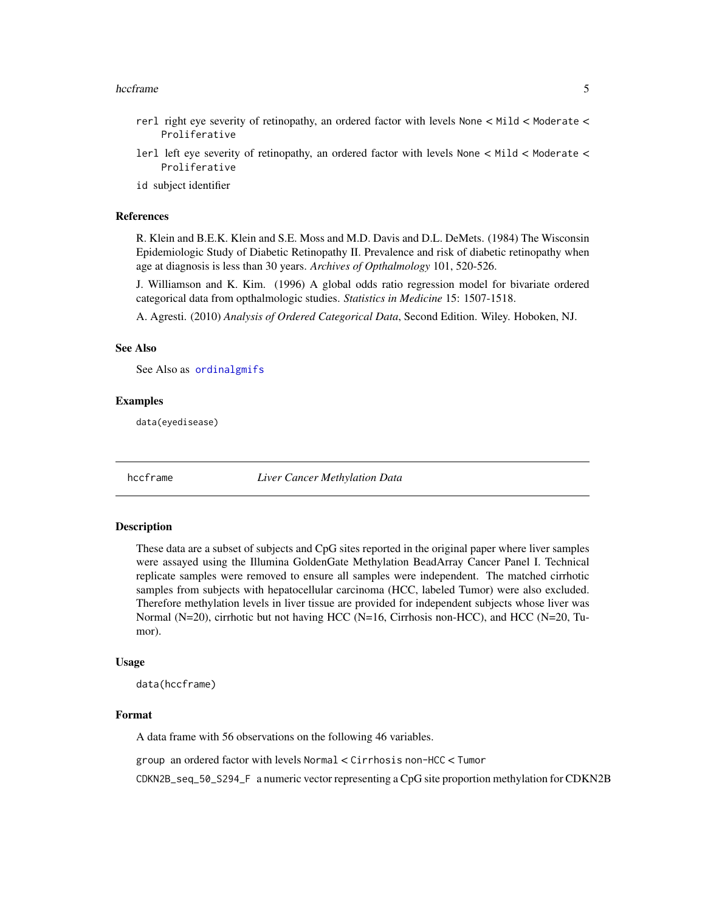#### <span id="page-4-0"></span>hccframe 5

- rerl right eye severity of retinopathy, an ordered factor with levels None < Mild < Moderate < Proliferative
- lerl left eye severity of retinopathy, an ordered factor with levels None < Mild < Moderate < Proliferative

id subject identifier

#### References

R. Klein and B.E.K. Klein and S.E. Moss and M.D. Davis and D.L. DeMets. (1984) The Wisconsin Epidemiologic Study of Diabetic Retinopathy II. Prevalence and risk of diabetic retinopathy when age at diagnosis is less than 30 years. *Archives of Opthalmology* 101, 520-526.

J. Williamson and K. Kim. (1996) A global odds ratio regression model for bivariate ordered categorical data from opthalmologic studies. *Statistics in Medicine* 15: 1507-1518.

A. Agresti. (2010) *Analysis of Ordered Categorical Data*, Second Edition. Wiley. Hoboken, NJ.

#### See Also

See Also as [ordinalgmifs](#page-6-1)

#### Examples

data(eyedisease)

hccframe *Liver Cancer Methylation Data*

#### **Description**

These data are a subset of subjects and CpG sites reported in the original paper where liver samples were assayed using the Illumina GoldenGate Methylation BeadArray Cancer Panel I. Technical replicate samples were removed to ensure all samples were independent. The matched cirrhotic samples from subjects with hepatocellular carcinoma (HCC, labeled Tumor) were also excluded. Therefore methylation levels in liver tissue are provided for independent subjects whose liver was Normal (N=20), cirrhotic but not having HCC (N=16, Cirrhosis non-HCC), and HCC (N=20, Tumor).

#### Usage

data(hccframe)

#### Format

A data frame with 56 observations on the following 46 variables.

group an ordered factor with levels Normal < Cirrhosis non-HCC < Tumor

CDKN2B\_seq\_50\_S294\_F a numeric vector representing a CpG site proportion methylation for CDKN2B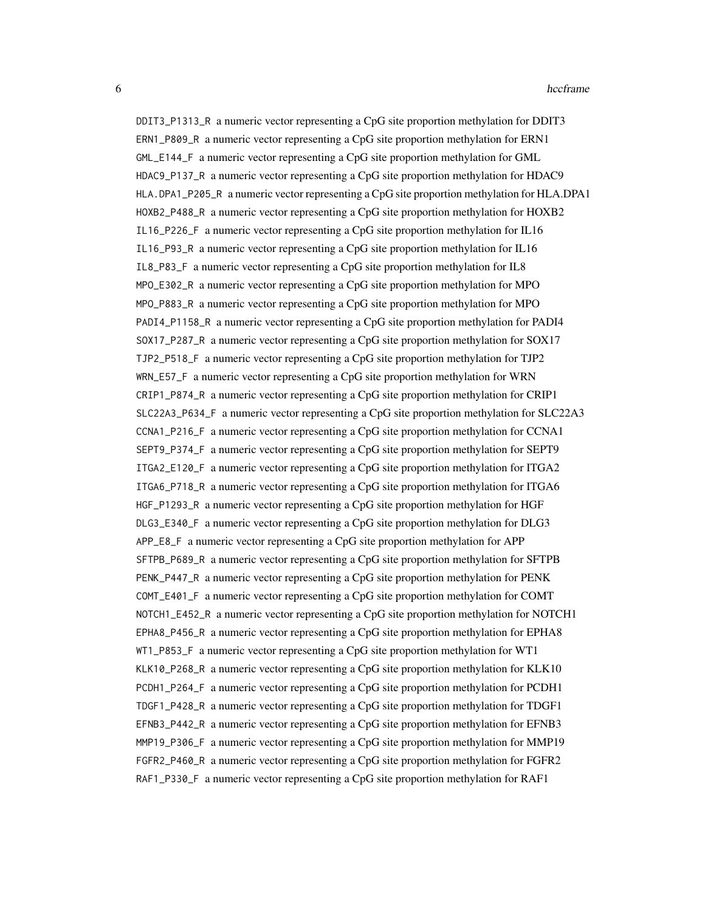DDIT3\_P1313\_R a numeric vector representing a CpG site proportion methylation for DDIT3 ERN1\_P809\_R a numeric vector representing a CpG site proportion methylation for ERN1 GML\_E144\_F a numeric vector representing a CpG site proportion methylation for GML HDAC9\_P137\_R a numeric vector representing a CpG site proportion methylation for HDAC9 HLA.DPA1\_P205\_R a numeric vector representing a CpG site proportion methylation for HLA.DPA1 HOXB2\_P488\_R a numeric vector representing a CpG site proportion methylation for HOXB2 IL16\_P226\_F a numeric vector representing a CpG site proportion methylation for IL16 IL16\_P93\_R a numeric vector representing a CpG site proportion methylation for IL16 IL8\_P83\_F a numeric vector representing a CpG site proportion methylation for IL8 MPO\_E302\_R a numeric vector representing a CpG site proportion methylation for MPO MPO\_P883\_R a numeric vector representing a CpG site proportion methylation for MPO PADI4\_P1158\_R a numeric vector representing a CpG site proportion methylation for PADI4 SOX17\_P287\_R a numeric vector representing a CpG site proportion methylation for SOX17 TJP2\_P518\_F a numeric vector representing a CpG site proportion methylation for TJP2 WRN\_E57\_F a numeric vector representing a CpG site proportion methylation for WRN CRIP1\_P874\_R a numeric vector representing a CpG site proportion methylation for CRIP1 SLC22A3\_P634\_F a numeric vector representing a CpG site proportion methylation for SLC22A3 CCNA1\_P216\_F a numeric vector representing a CpG site proportion methylation for CCNA1 SEPT9\_P374\_F a numeric vector representing a CpG site proportion methylation for SEPT9 ITGA2\_E120\_F a numeric vector representing a CpG site proportion methylation for ITGA2 ITGA6\_P718\_R a numeric vector representing a CpG site proportion methylation for ITGA6 HGF\_P1293\_R a numeric vector representing a CpG site proportion methylation for HGF DLG3\_E340\_F a numeric vector representing a CpG site proportion methylation for DLG3 APP\_E8\_F a numeric vector representing a CpG site proportion methylation for APP SFTPB\_P689\_R a numeric vector representing a CpG site proportion methylation for SFTPB PENK\_P447\_R a numeric vector representing a CpG site proportion methylation for PENK COMT\_E401\_F a numeric vector representing a CpG site proportion methylation for COMT NOTCH1\_E452\_R a numeric vector representing a CpG site proportion methylation for NOTCH1 EPHA8\_P456\_R a numeric vector representing a CpG site proportion methylation for EPHA8 WT1\_P853\_F a numeric vector representing a CpG site proportion methylation for WT1 KLK10\_P268\_R a numeric vector representing a CpG site proportion methylation for KLK10 PCDH1\_P264\_F a numeric vector representing a CpG site proportion methylation for PCDH1 TDGF1\_P428\_R a numeric vector representing a CpG site proportion methylation for TDGF1 EFNB3\_P442\_R a numeric vector representing a CpG site proportion methylation for EFNB3 MMP19\_P306\_F a numeric vector representing a CpG site proportion methylation for MMP19 FGFR2\_P460\_R a numeric vector representing a CpG site proportion methylation for FGFR2 RAF1\_P330\_F a numeric vector representing a CpG site proportion methylation for RAF1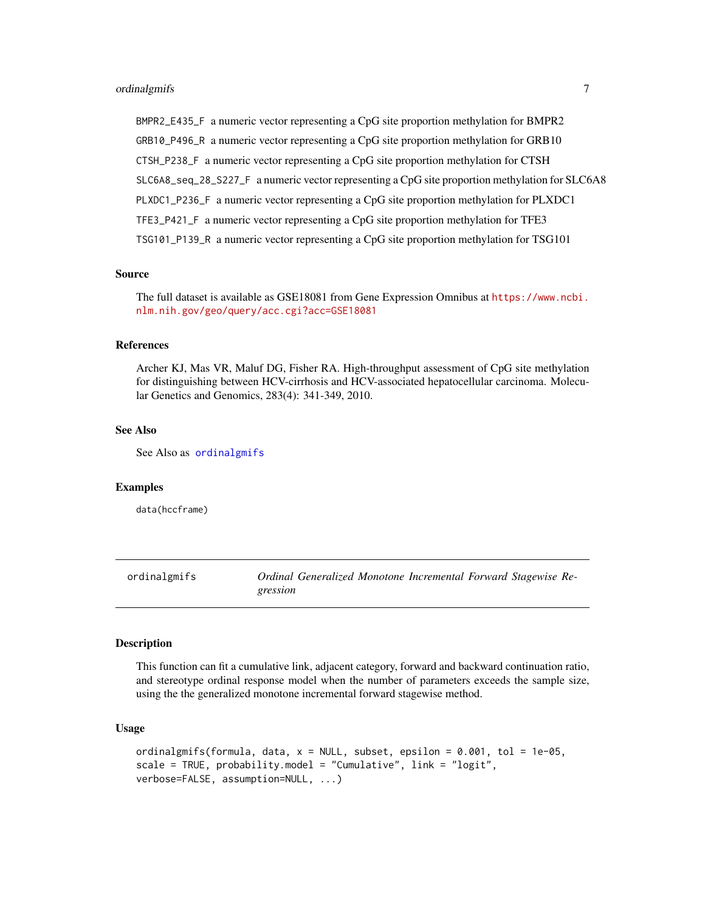<span id="page-6-0"></span>BMPR2\_E435\_F a numeric vector representing a CpG site proportion methylation for BMPR2 GRB10\_P496\_R a numeric vector representing a CpG site proportion methylation for GRB10 CTSH\_P238\_F a numeric vector representing a CpG site proportion methylation for CTSH SLC6A8\_seq\_28\_S227\_F a numeric vector representing a CpG site proportion methylation for SLC6A8 PLXDC1\_P236\_F a numeric vector representing a CpG site proportion methylation for PLXDC1 TFE3\_P421\_F a numeric vector representing a CpG site proportion methylation for TFE3 TSG101\_P139\_R a numeric vector representing a CpG site proportion methylation for TSG101

#### Source

The full dataset is available as GSE18081 from Gene Expression Omnibus at [https://www.ncbi.](https://www.ncbi.nlm.nih.gov/geo/query/acc.cgi?acc=GSE18081) [nlm.nih.gov/geo/query/acc.cgi?acc=GSE18081](https://www.ncbi.nlm.nih.gov/geo/query/acc.cgi?acc=GSE18081)

#### **References**

Archer KJ, Mas VR, Maluf DG, Fisher RA. High-throughput assessment of CpG site methylation for distinguishing between HCV-cirrhosis and HCV-associated hepatocellular carcinoma. Molecular Genetics and Genomics, 283(4): 341-349, 2010.

#### See Also

See Also as [ordinalgmifs](#page-6-1)

#### Examples

data(hccframe)

<span id="page-6-1"></span>ordinalgmifs *Ordinal Generalized Monotone Incremental Forward Stagewise Regression*

#### Description

This function can fit a cumulative link, adjacent category, forward and backward continuation ratio, and stereotype ordinal response model when the number of parameters exceeds the sample size, using the the generalized monotone incremental forward stagewise method.

#### Usage

```
ordinalgmifs(formula, data, x = NULL, subset, epsilon = 0.001, tol = 1e-05,
scale = TRUE, probability.model = "Cumulative", link = "logit",
verbose=FALSE, assumption=NULL, ...)
```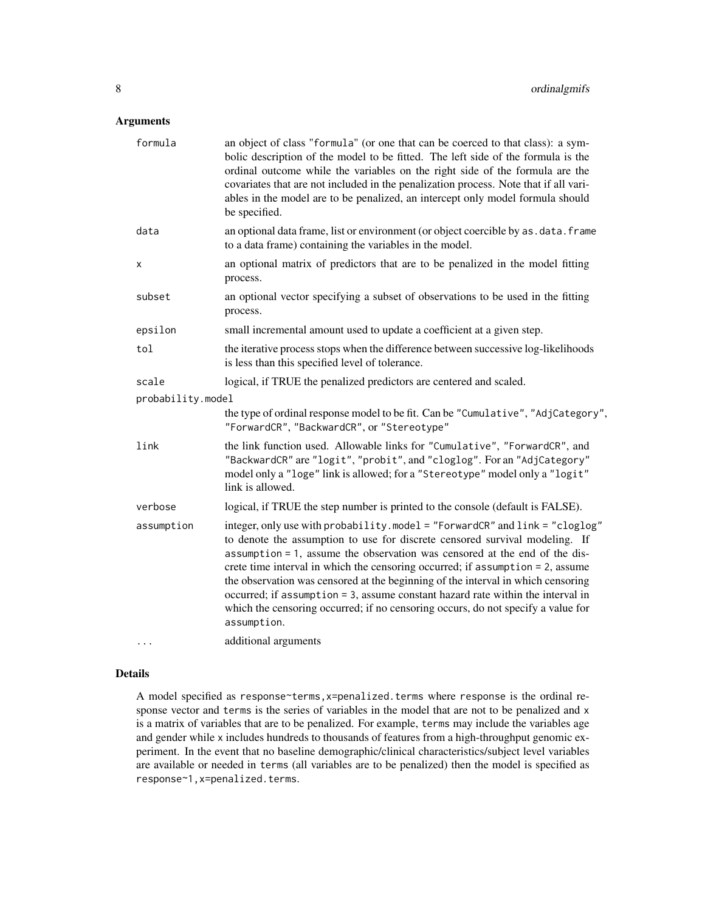#### Arguments

| formula           | an object of class "formula" (or one that can be coerced to that class): a sym-<br>bolic description of the model to be fitted. The left side of the formula is the<br>ordinal outcome while the variables on the right side of the formula are the<br>covariates that are not included in the penalization process. Note that if all vari-<br>ables in the model are to be penalized, an intercept only model formula should<br>be specified.                                                                                                                                                       |  |
|-------------------|------------------------------------------------------------------------------------------------------------------------------------------------------------------------------------------------------------------------------------------------------------------------------------------------------------------------------------------------------------------------------------------------------------------------------------------------------------------------------------------------------------------------------------------------------------------------------------------------------|--|
| data              | an optional data frame, list or environment (or object coercible by as . data. frame<br>to a data frame) containing the variables in the model.                                                                                                                                                                                                                                                                                                                                                                                                                                                      |  |
| x                 | an optional matrix of predictors that are to be penalized in the model fitting<br>process.                                                                                                                                                                                                                                                                                                                                                                                                                                                                                                           |  |
| subset            | an optional vector specifying a subset of observations to be used in the fitting<br>process.                                                                                                                                                                                                                                                                                                                                                                                                                                                                                                         |  |
| epsilon           | small incremental amount used to update a coefficient at a given step.                                                                                                                                                                                                                                                                                                                                                                                                                                                                                                                               |  |
| tol               | the iterative process stops when the difference between successive log-likelihoods<br>is less than this specified level of tolerance.                                                                                                                                                                                                                                                                                                                                                                                                                                                                |  |
| scale             | logical, if TRUE the penalized predictors are centered and scaled.                                                                                                                                                                                                                                                                                                                                                                                                                                                                                                                                   |  |
| probability.model |                                                                                                                                                                                                                                                                                                                                                                                                                                                                                                                                                                                                      |  |
|                   | the type of ordinal response model to be fit. Can be "Cumulative", "AdjCategory",<br>"ForwardCR", "BackwardCR", or "Stereotype"                                                                                                                                                                                                                                                                                                                                                                                                                                                                      |  |
| link              | the link function used. Allowable links for "Cumulative", "ForwardCR", and<br>"BackwardCR" are "logit", "probit", and "cloglog". For an "AdjCategory"<br>model only a "loge" link is allowed; for a "Stereotype" model only a "logit"<br>link is allowed.                                                                                                                                                                                                                                                                                                                                            |  |
| verbose           | logical, if TRUE the step number is printed to the console (default is FALSE).                                                                                                                                                                                                                                                                                                                                                                                                                                                                                                                       |  |
| assumption        | integer, only use with probability.model = "ForwardCR" and link = "cloglog"<br>to denote the assumption to use for discrete censored survival modeling. If<br>assumption = 1, assume the observation was censored at the end of the dis-<br>crete time interval in which the censoring occurred; if assumption = 2, assume<br>the observation was censored at the beginning of the interval in which censoring<br>occurred; if assumption = 3, assume constant hazard rate within the interval in<br>which the censoring occurred; if no censoring occurs, do not specify a value for<br>assumption. |  |
|                   | additional arguments                                                                                                                                                                                                                                                                                                                                                                                                                                                                                                                                                                                 |  |

#### Details

A model specified as response~terms,x=penalized.terms where response is the ordinal response vector and terms is the series of variables in the model that are not to be penalized and x is a matrix of variables that are to be penalized. For example, terms may include the variables age and gender while x includes hundreds to thousands of features from a high-throughput genomic experiment. In the event that no baseline demographic/clinical characteristics/subject level variables are available or needed in terms (all variables are to be penalized) then the model is specified as response~1,x=penalized.terms.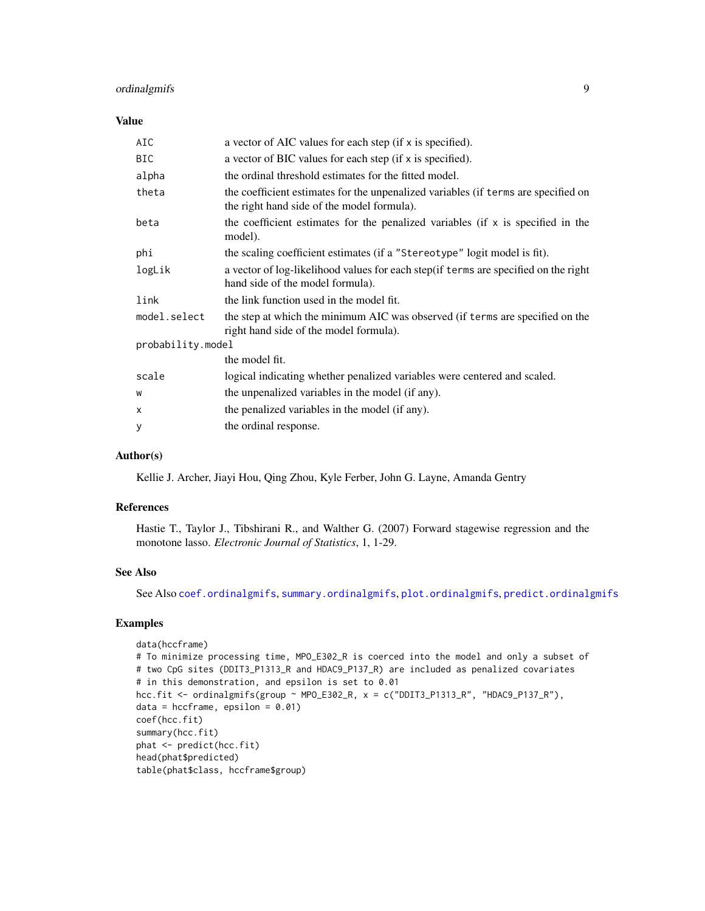#### <span id="page-8-0"></span>ordinalgmifs 9

#### Value

| AIC               | a vector of AIC values for each step (if x is specified).                                                                        |  |
|-------------------|----------------------------------------------------------------------------------------------------------------------------------|--|
| <b>BIC</b>        | a vector of BIC values for each step (if x is specified).                                                                        |  |
| alpha             | the ordinal threshold estimates for the fitted model.                                                                            |  |
| theta             | the coefficient estimates for the unpenalized variables (if terms are specified on<br>the right hand side of the model formula). |  |
| beta              | the coefficient estimates for the penalized variables (if x is specified in the<br>model).                                       |  |
| phi               | the scaling coefficient estimates (if a "Stereotype" logit model is fit).                                                        |  |
| logLik            | a vector of log-likelihood values for each step (if terms are specified on the right<br>hand side of the model formula).         |  |
| link              | the link function used in the model fit.                                                                                         |  |
| model.select      | the step at which the minimum AIC was observed (if terms are specified on the<br>right hand side of the model formula).          |  |
| probability.model |                                                                                                                                  |  |
|                   | the model fit.                                                                                                                   |  |
| scale             | logical indicating whether penalized variables were centered and scaled.                                                         |  |
| W                 | the unpenalized variables in the model (if any).                                                                                 |  |
| X                 | the penalized variables in the model (if any).                                                                                   |  |
| У                 | the ordinal response.                                                                                                            |  |

#### Author(s)

Kellie J. Archer, Jiayi Hou, Qing Zhou, Kyle Ferber, John G. Layne, Amanda Gentry

#### References

Hastie T., Taylor J., Tibshirani R., and Walther G. (2007) Forward stagewise regression and the monotone lasso. *Electronic Journal of Statistics*, 1, 1-29.

#### See Also

See Also [coef.ordinalgmifs](#page-2-1), [summary.ordinalgmifs](#page-11-1), [plot.ordinalgmifs](#page-9-1), [predict.ordinalgmifs](#page-9-2)

#### Examples

```
data(hccframe)
# To minimize processing time, MPO_E302_R is coerced into the model and only a subset of
# two CpG sites (DDIT3_P1313_R and HDAC9_P137_R) are included as penalized covariates
# in this demonstration, and epsilon is set to 0.01
hcc.fit <- ordinalgmifs(group ~ MPO_E302_R, x = c("DDIT3_P1313_R", "HDAC9_P137_R"),
data = hccframe, epsilon = 0.01)coef(hcc.fit)
summary(hcc.fit)
phat <- predict(hcc.fit)
head(phat$predicted)
table(phat$class, hccframe$group)
```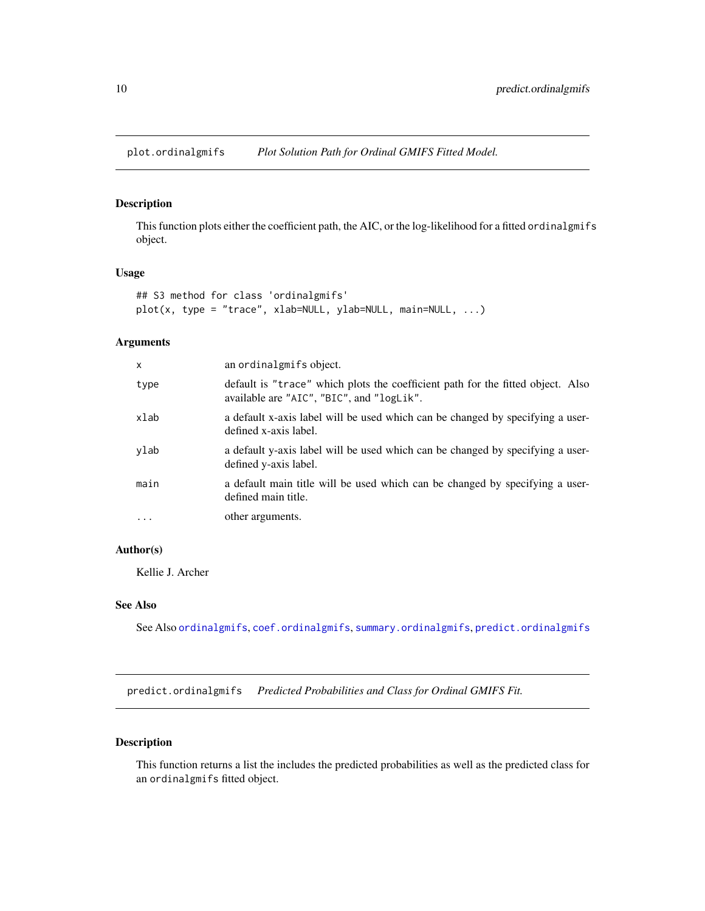<span id="page-9-1"></span><span id="page-9-0"></span>plot.ordinalgmifs *Plot Solution Path for Ordinal GMIFS Fitted Model.*

#### Description

This function plots either the coefficient path, the AIC, or the log-likelihood for a fitted ordinalgmifs object.

#### Usage

```
## S3 method for class 'ordinalgmifs'
plot(x, type = "trace", xlab=NULL, ylab=NULL, main=NULL, ...)
```
#### Arguments

| $\mathsf{x}$      | an ordinalgmifs object.                                                                                                      |
|-------------------|------------------------------------------------------------------------------------------------------------------------------|
| type              | default is "trace" which plots the coefficient path for the fitted object. Also<br>available are "AIC", "BIC", and "logLik". |
| xlab              | a default x-axis label will be used which can be changed by specifying a user-<br>defined x-axis label.                      |
| ylab              | a default y-axis label will be used which can be changed by specifying a user-<br>defined y-axis label.                      |
| main              | a default main title will be used which can be changed by specifying a user-<br>defined main title.                          |
| $\cdot\cdot\cdot$ | other arguments.                                                                                                             |
|                   |                                                                                                                              |

#### Author(s)

Kellie J. Archer

#### See Also

See Also [ordinalgmifs](#page-6-1), [coef.ordinalgmifs](#page-2-1), [summary.ordinalgmifs](#page-11-1), [predict.ordinalgmifs](#page-9-2)

<span id="page-9-2"></span>predict.ordinalgmifs *Predicted Probabilities and Class for Ordinal GMIFS Fit.*

#### Description

This function returns a list the includes the predicted probabilities as well as the predicted class for an ordinalgmifs fitted object.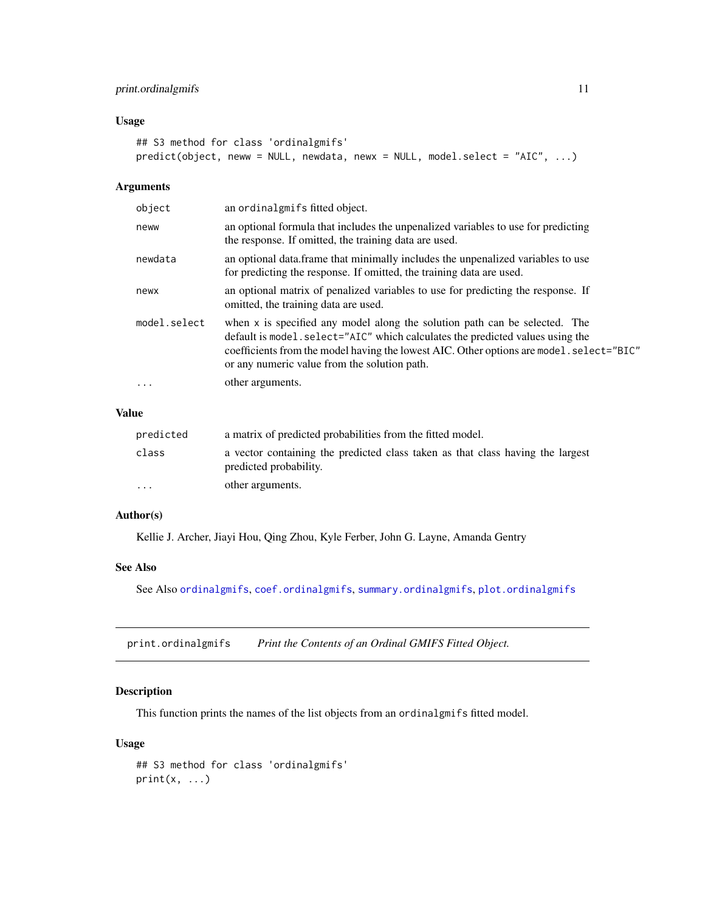#### <span id="page-10-0"></span>print.ordinalgmifs 11

#### Usage

```
## S3 method for class 'ordinalgmifs'
predict(object, neww = NULL, newdata, newx = NULL, model.select = "AIC", ...)
```
#### Arguments

| object       | an ordinalgmifs fitted object.                                                                                                                                                                                                                                                                           |
|--------------|----------------------------------------------------------------------------------------------------------------------------------------------------------------------------------------------------------------------------------------------------------------------------------------------------------|
| neww         | an optional formula that includes the unpenalized variables to use for predicting<br>the response. If omitted, the training data are used.                                                                                                                                                               |
| newdata      | an optional data. frame that minimally includes the unpenalized variables to use<br>for predicting the response. If omitted, the training data are used.                                                                                                                                                 |
| newx         | an optional matrix of penalized variables to use for predicting the response. If<br>omitted, the training data are used.                                                                                                                                                                                 |
| model.select | when x is specified any model along the solution path can be selected. The<br>default is model. select="AIC" which calculates the predicted values using the<br>coefficients from the model having the lowest AIC. Other options are model. select="BIC"<br>or any numeric value from the solution path. |
| .            | other arguments.                                                                                                                                                                                                                                                                                         |
|              |                                                                                                                                                                                                                                                                                                          |

#### Value

| predicted               | a matrix of predicted probabilities from the fitted model.                                               |  |
|-------------------------|----------------------------------------------------------------------------------------------------------|--|
| class                   | a vector containing the predicted class taken as that class having the largest<br>predicted probability. |  |
| $\cdot$ $\cdot$ $\cdot$ | other arguments.                                                                                         |  |

#### Author(s)

Kellie J. Archer, Jiayi Hou, Qing Zhou, Kyle Ferber, John G. Layne, Amanda Gentry

#### See Also

See Also [ordinalgmifs](#page-6-1), [coef.ordinalgmifs](#page-2-1), [summary.ordinalgmifs](#page-11-1), [plot.ordinalgmifs](#page-9-1)

print.ordinalgmifs *Print the Contents of an Ordinal GMIFS Fitted Object.*

#### Description

This function prints the names of the list objects from an ordinalgmifs fitted model.

#### Usage

```
## S3 method for class 'ordinalgmifs'
print(x, \ldots)
```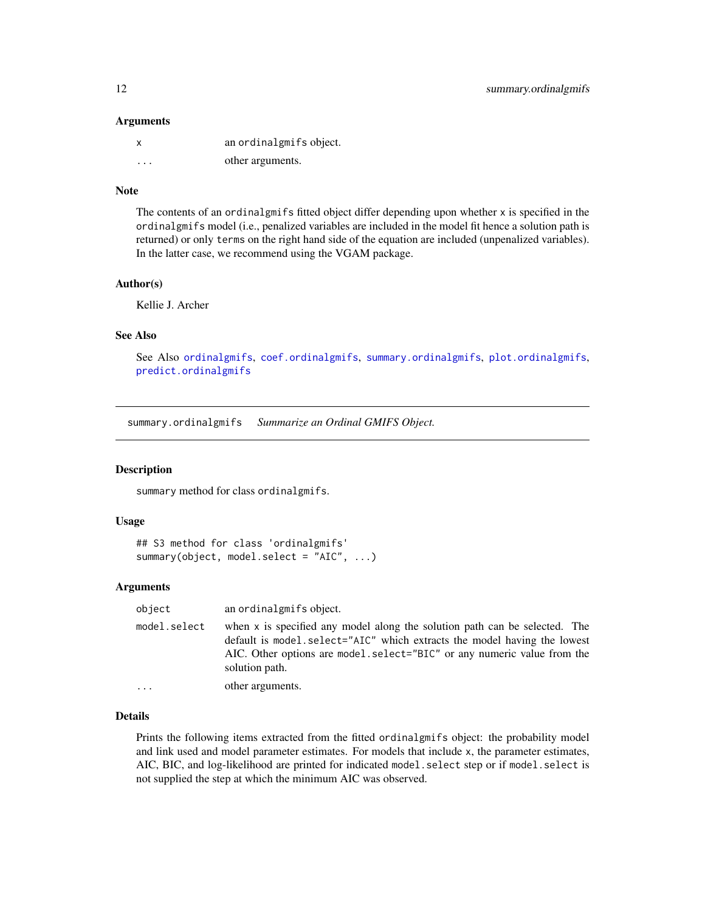#### <span id="page-11-0"></span>**Arguments**

| x                       | an ordinalgmifs object. |
|-------------------------|-------------------------|
| $\cdot$ $\cdot$ $\cdot$ | other arguments.        |

#### Note

The contents of an ordinalgmifs fitted object differ depending upon whether x is specified in the ordinalgmifs model (i.e., penalized variables are included in the model fit hence a solution path is returned) or only terms on the right hand side of the equation are included (unpenalized variables). In the latter case, we recommend using the VGAM package.

#### Author(s)

Kellie J. Archer

#### See Also

See Also [ordinalgmifs](#page-6-1), [coef.ordinalgmifs](#page-2-1), [summary.ordinalgmifs](#page-11-1), [plot.ordinalgmifs](#page-9-1), [predict.ordinalgmifs](#page-9-2)

<span id="page-11-1"></span>summary.ordinalgmifs *Summarize an Ordinal GMIFS Object.*

#### Description

summary method for class ordinalgmifs.

#### Usage

```
## S3 method for class 'ordinalgmifs'
summary(object, model.select = "AIC", ...)
```
#### Arguments

| object       | an ordinalgmifs object.                                                                                                                                                                                                                             |
|--------------|-----------------------------------------------------------------------------------------------------------------------------------------------------------------------------------------------------------------------------------------------------|
| model.select | when x is specified any model along the solution path can be selected. The<br>default is model.select="AIC" which extracts the model having the lowest<br>AIC. Other options are model.select="BIC" or any numeric value from the<br>solution path. |
| $\cdots$     | other arguments.                                                                                                                                                                                                                                    |

#### Details

Prints the following items extracted from the fitted ordinalgmifs object: the probability model and link used and model parameter estimates. For models that include x, the parameter estimates, AIC, BIC, and log-likelihood are printed for indicated model.select step or if model.select is not supplied the step at which the minimum AIC was observed.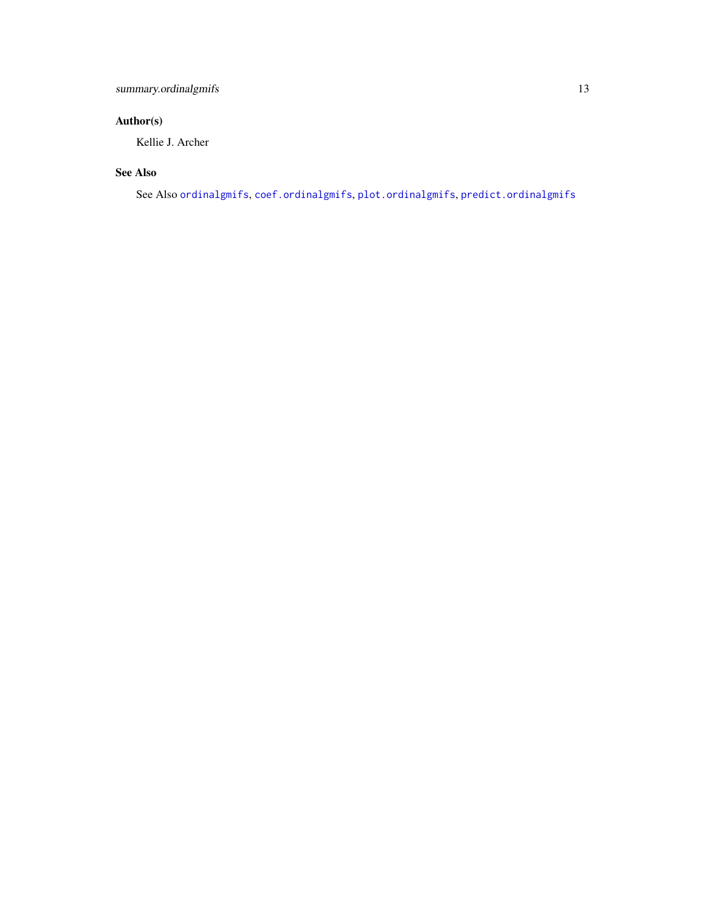#### <span id="page-12-0"></span>Author(s)

Kellie J. Archer

#### See Also

See Also [ordinalgmifs](#page-6-1), [coef.ordinalgmifs](#page-2-1), [plot.ordinalgmifs](#page-9-1), [predict.ordinalgmifs](#page-9-2)